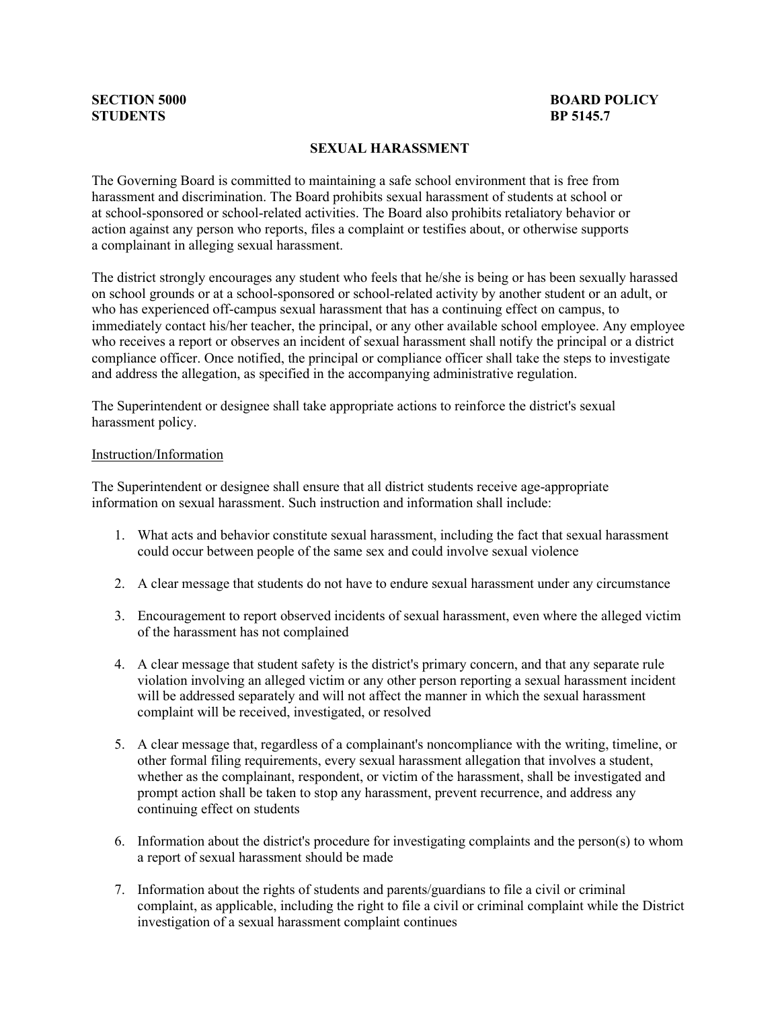# **STUDENTS BP 5145.7**

## **SECTION 5000 BOARD POLICY**<br>**STUDENTS BP** 5145.7

#### **SEXUAL HARASSMENT**

The Governing Board is committed to maintaining a safe school environment that is free from harassment and discrimination. The Board prohibits sexual harassment of students at school or at school-sponsored or school-related activities. The Board also prohibits retaliatory behavior or action against any person who reports, files a complaint or testifies about, or otherwise supports a complainant in alleging sexual harassment.

The district strongly encourages any student who feels that he/she is being or has been sexually harassed on school grounds or at a school-sponsored or school-related activity by another student or an adult, or who has experienced off-campus sexual harassment that has a continuing effect on campus, to immediately contact his/her teacher, the principal, or any other available school employee. Any employee who receives a report or observes an incident of sexual harassment shall notify the principal or a district compliance officer. Once notified, the principal or compliance officer shall take the steps to investigate and address the allegation, as specified in the accompanying administrative regulation.

The Superintendent or designee shall take appropriate actions to reinforce the district's sexual harassment policy.

#### Instruction/Information

The Superintendent or designee shall ensure that all district students receive age-appropriate information on sexual harassment. Such instruction and information shall include:

- 1. What acts and behavior constitute sexual harassment, including the fact that sexual harassment could occur between people of the same sex and could involve sexual violence
- 2. A clear message that students do not have to endure sexual harassment under any circumstance
- 3. Encouragement to report observed incidents of sexual harassment, even where the alleged victim of the harassment has not complained
- 4. A clear message that student safety is the district's primary concern, and that any separate rule violation involving an alleged victim or any other person reporting a sexual harassment incident will be addressed separately and will not affect the manner in which the sexual harassment complaint will be received, investigated, or resolved
- 5. A clear message that, regardless of a complainant's noncompliance with the writing, timeline, or other formal filing requirements, every sexual harassment allegation that involves a student, whether as the complainant, respondent, or victim of the harassment, shall be investigated and prompt action shall be taken to stop any harassment, prevent recurrence, and address any continuing effect on students
- 6. Information about the district's procedure for investigating complaints and the person(s) to whom a report of sexual harassment should be made
- 7. Information about the rights of students and parents/guardians to file a civil or criminal complaint, as applicable, including the right to file a civil or criminal complaint while the District investigation of a sexual harassment complaint continues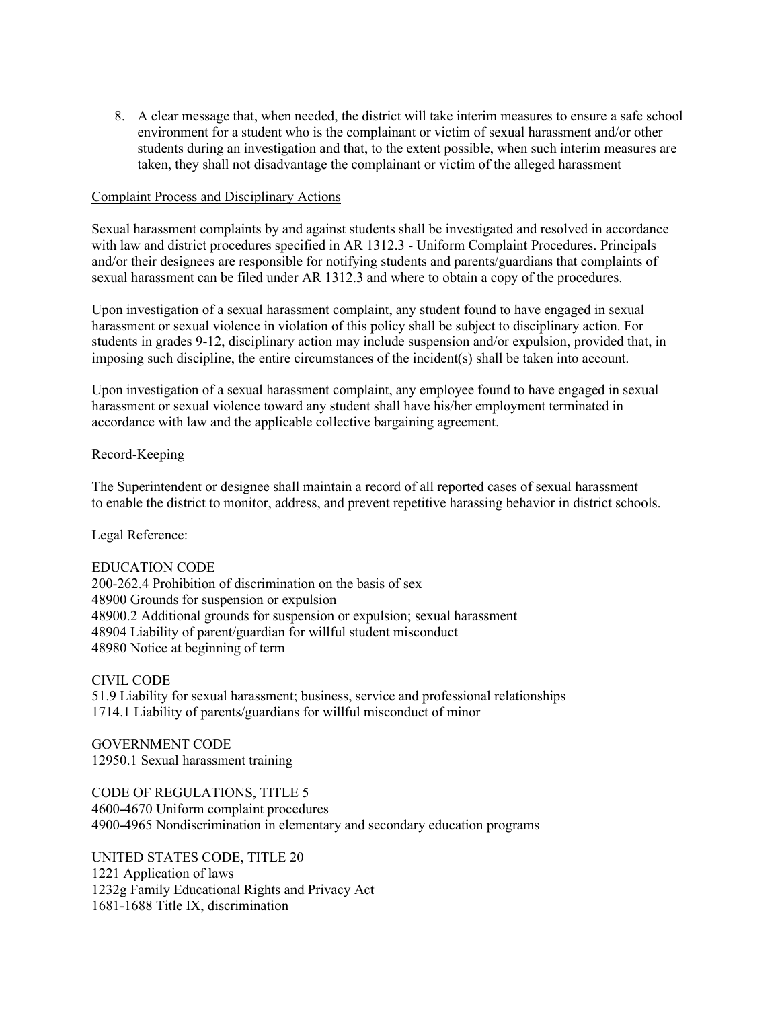8. A clear message that, when needed, the district will take interim measures to ensure a safe school environment for a student who is the complainant or victim of sexual harassment and/or other students during an investigation and that, to the extent possible, when such interim measures are taken, they shall not disadvantage the complainant or victim of the alleged harassment

#### Complaint Process and Disciplinary Actions

Sexual harassment complaints by and against students shall be investigated and resolved in accordance with law and district procedures specified in AR 1312.3 - Uniform Complaint Procedures. Principals and/or their designees are responsible for notifying students and parents/guardians that complaints of sexual harassment can be filed under AR 1312.3 and where to obtain a copy of the procedures.

Upon investigation of a sexual harassment complaint, any student found to have engaged in sexual harassment or sexual violence in violation of this policy shall be subject to disciplinary action. For students in grades 9-12, disciplinary action may include suspension and/or expulsion, provided that, in imposing such discipline, the entire circumstances of the incident(s) shall be taken into account.

Upon investigation of a sexual harassment complaint, any employee found to have engaged in sexual harassment or sexual violence toward any student shall have his/her employment terminated in accordance with law and the applicable collective bargaining agreement.

#### Record-Keeping

The Superintendent or designee shall maintain a record of all reported cases of sexual harassment to enable the district to monitor, address, and prevent repetitive harassing behavior in district schools.

Legal Reference:

#### EDUCATION CODE

200-262.4 Prohibition of discrimination on the basis of sex 48900 Grounds for suspension or expulsion 48900.2 Additional grounds for suspension or expulsion; sexual harassment 48904 Liability of parent/guardian for willful student misconduct 48980 Notice at beginning of term

CIVIL CODE

51.9 Liability for sexual harassment; business, service and professional relationships 1714.1 Liability of parents/guardians for willful misconduct of minor

GOVERNMENT CODE 12950.1 Sexual harassment training

CODE OF REGULATIONS, TITLE 5 4600-4670 Uniform complaint procedures 4900-4965 Nondiscrimination in elementary and secondary education programs

UNITED STATES CODE, TITLE 20 1221 Application of laws 1232g Family Educational Rights and Privacy Act 1681-1688 Title IX, discrimination